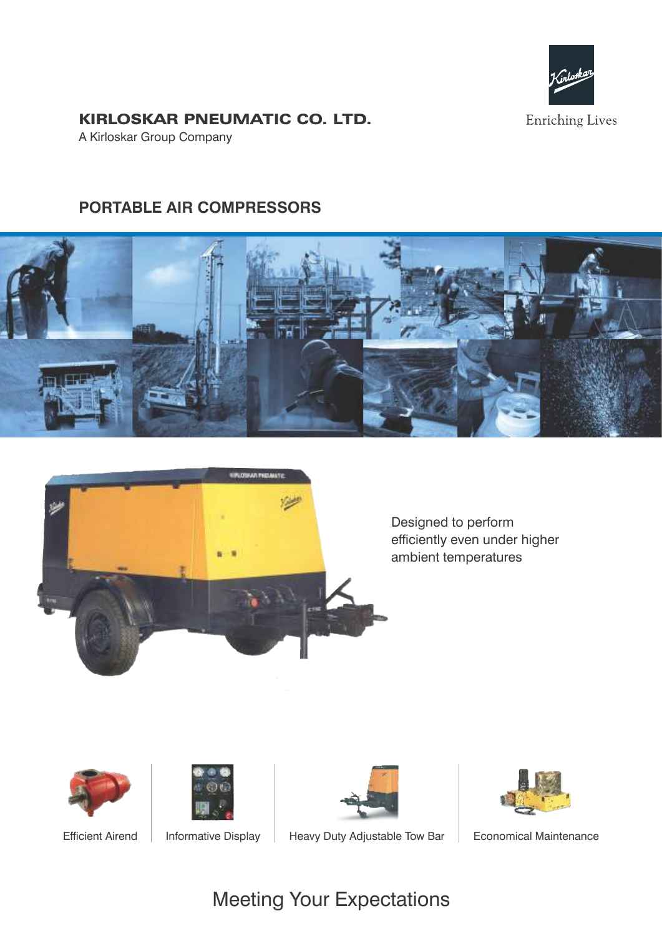

## KIRLOSKAR PNEUMATIC CO. LTD.

A Kirloskar Group Company

# **PORTABLE AIR COMPRESSORS**





Designed to perform efficiently even under higher ambient temperatures











Efficient Airend | Informative Display | Heavy Duty Adjustable Tow Bar | Economical Maintenance

# Meeting Your Expectations